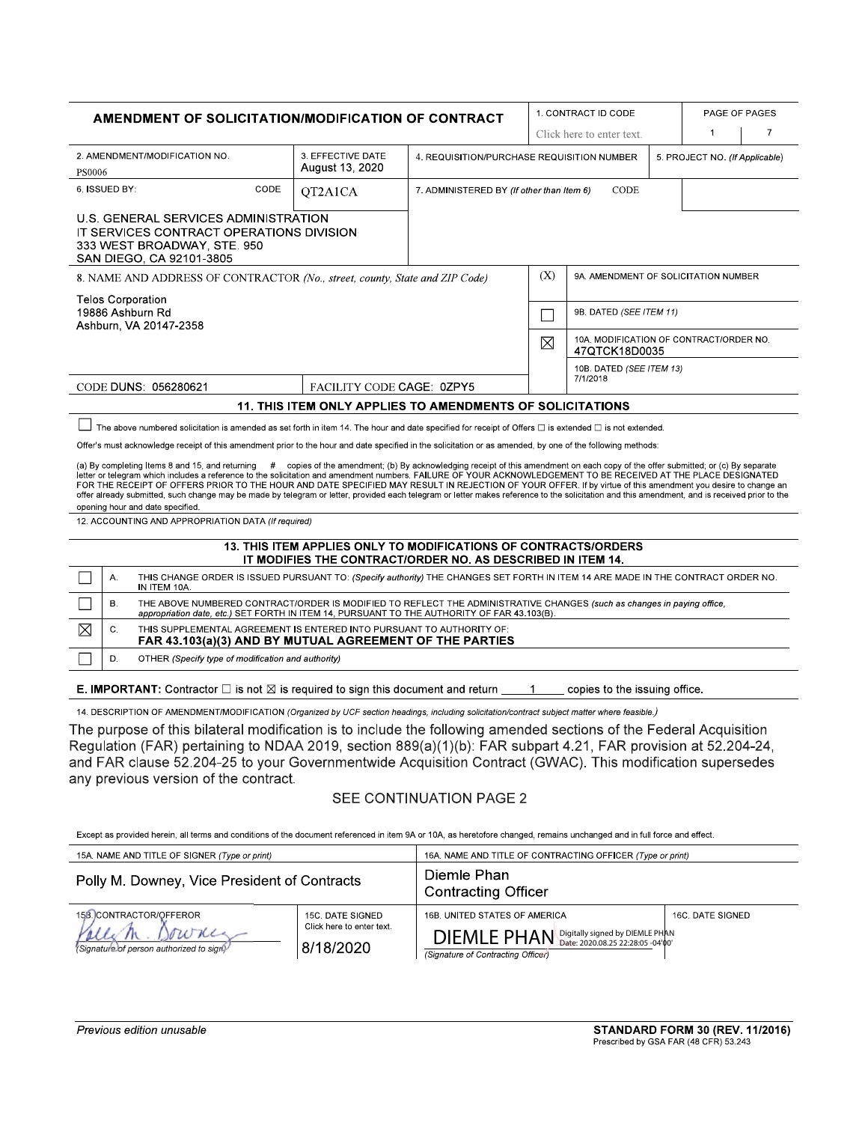| AMENDMENT OF SOLICITATION/MODIFICATION OF CONTRACT                                                                                                                                                                                                                                                                                                                                                                                                                                                                                                                                                                                                                                                                                                                                                                                                                                                                                                                                                                                                                                                                                                  |                                                                                                                                                                                                                             |                                                                                                                                             |                                                   |                           |                                                                                                                                  |                                | 1. CONTRACT ID CODE                                      |  | PAGE OF PAGES |   |
|-----------------------------------------------------------------------------------------------------------------------------------------------------------------------------------------------------------------------------------------------------------------------------------------------------------------------------------------------------------------------------------------------------------------------------------------------------------------------------------------------------------------------------------------------------------------------------------------------------------------------------------------------------------------------------------------------------------------------------------------------------------------------------------------------------------------------------------------------------------------------------------------------------------------------------------------------------------------------------------------------------------------------------------------------------------------------------------------------------------------------------------------------------|-----------------------------------------------------------------------------------------------------------------------------------------------------------------------------------------------------------------------------|---------------------------------------------------------------------------------------------------------------------------------------------|---------------------------------------------------|---------------------------|----------------------------------------------------------------------------------------------------------------------------------|--------------------------------|----------------------------------------------------------|--|---------------|---|
|                                                                                                                                                                                                                                                                                                                                                                                                                                                                                                                                                                                                                                                                                                                                                                                                                                                                                                                                                                                                                                                                                                                                                     |                                                                                                                                                                                                                             |                                                                                                                                             |                                                   |                           |                                                                                                                                  |                                | Click here to enter text.                                |  |               | 7 |
| 3. EFFECTIVE DATE<br>2. AMENDMENT/MODIFICATION NO.<br>August 13, 2020<br>PS0006                                                                                                                                                                                                                                                                                                                                                                                                                                                                                                                                                                                                                                                                                                                                                                                                                                                                                                                                                                                                                                                                     |                                                                                                                                                                                                                             |                                                                                                                                             | 4. REQUISITION/PURCHASE REQUISITION NUMBER        |                           |                                                                                                                                  | 5. PROJECT NO. (If Applicable) |                                                          |  |               |   |
| CODE<br>6. ISSUED BY:<br>OT2A1CA                                                                                                                                                                                                                                                                                                                                                                                                                                                                                                                                                                                                                                                                                                                                                                                                                                                                                                                                                                                                                                                                                                                    |                                                                                                                                                                                                                             |                                                                                                                                             | CODE<br>7. ADMINISTERED BY (If other than Item 6) |                           |                                                                                                                                  |                                |                                                          |  |               |   |
|                                                                                                                                                                                                                                                                                                                                                                                                                                                                                                                                                                                                                                                                                                                                                                                                                                                                                                                                                                                                                                                                                                                                                     |                                                                                                                                                                                                                             | U.S. GENERAL SERVICES ADMINISTRATION<br>IT SERVICES CONTRACT OPERATIONS DIVISION<br>333 WEST BROADWAY, STE. 950<br>SAN DIEGO, CA 92101-3805 |                                                   |                           |                                                                                                                                  |                                |                                                          |  |               |   |
| 8. NAME AND ADDRESS OF CONTRACTOR (No., street, county, State and ZIP Code)                                                                                                                                                                                                                                                                                                                                                                                                                                                                                                                                                                                                                                                                                                                                                                                                                                                                                                                                                                                                                                                                         |                                                                                                                                                                                                                             |                                                                                                                                             |                                                   |                           |                                                                                                                                  | (X)                            | 9A. AMENDMENT OF SOLICITATION NUMBER                     |  |               |   |
|                                                                                                                                                                                                                                                                                                                                                                                                                                                                                                                                                                                                                                                                                                                                                                                                                                                                                                                                                                                                                                                                                                                                                     |                                                                                                                                                                                                                             | <b>Telos Corporation</b><br>19886 Ashburn Rd<br>Ashburn, VA 20147-2358                                                                      |                                                   |                           |                                                                                                                                  | 9B. DATED (SEE ITEM 11)        |                                                          |  |               |   |
|                                                                                                                                                                                                                                                                                                                                                                                                                                                                                                                                                                                                                                                                                                                                                                                                                                                                                                                                                                                                                                                                                                                                                     |                                                                                                                                                                                                                             |                                                                                                                                             |                                                   |                           |                                                                                                                                  | $\boxtimes$                    | 10A. MODIFICATION OF CONTRACT/ORDER NO.<br>47QTCK18D0035 |  |               |   |
|                                                                                                                                                                                                                                                                                                                                                                                                                                                                                                                                                                                                                                                                                                                                                                                                                                                                                                                                                                                                                                                                                                                                                     |                                                                                                                                                                                                                             | CODE DUNS: 056280621                                                                                                                        |                                                   | FACILITY CODE CAGE: 0ZPY5 |                                                                                                                                  |                                | 10B. DATED (SEE ITEM 13)<br>7/1/2018                     |  |               |   |
| <b>11. THIS ITEM ONLY APPLIES TO AMENDMENTS OF SOLICITATIONS</b>                                                                                                                                                                                                                                                                                                                                                                                                                                                                                                                                                                                                                                                                                                                                                                                                                                                                                                                                                                                                                                                                                    |                                                                                                                                                                                                                             |                                                                                                                                             |                                                   |                           |                                                                                                                                  |                                |                                                          |  |               |   |
| The above numbered solicitation is amended as set forth in item 14. The hour and date specified for receipt of Offers $\Box$ is extended $\Box$ is not extended.<br>Offer's must acknowledge receipt of this amendment prior to the hour and date specified in the solicitation or as amended, by one of the following methods:<br>(a) By completing Items 8 and 15, and returning # copies of the amendment; (b) By acknowledging receipt of this amendment on each copy of the offer submitted; or (c) By separate<br>letter or telegram which includes a reference to the solicitation and amendment numbers. FAILURE OF YOUR ACKNOWLEDGEMENT TO BE RECEIVED AT THE PLACE DESIGNATED<br>FOR THE RECEIPT OF OFFERS PRIOR TO THE HOUR AND DATE SPECIFIED MAY RESULT IN REJECTION OF YOUR OFFER. If by virtue of this amendment you desire to change an<br>offer already submitted, such change may be made by telegram or letter, provided each telegram or letter makes reference to the solicitation and this amendment, and is received prior to the<br>opening hour and date specified.<br>12. ACCOUNTING AND APPROPRIATION DATA (If required) |                                                                                                                                                                                                                             |                                                                                                                                             |                                                   |                           |                                                                                                                                  |                                |                                                          |  |               |   |
| 13. THIS ITEM APPLIES ONLY TO MODIFICATIONS OF CONTRACTS/ORDERS<br>IT MODIFIES THE CONTRACT/ORDER NO. AS DESCRIBED IN ITEM 14.                                                                                                                                                                                                                                                                                                                                                                                                                                                                                                                                                                                                                                                                                                                                                                                                                                                                                                                                                                                                                      |                                                                                                                                                                                                                             |                                                                                                                                             |                                                   |                           |                                                                                                                                  |                                |                                                          |  |               |   |
|                                                                                                                                                                                                                                                                                                                                                                                                                                                                                                                                                                                                                                                                                                                                                                                                                                                                                                                                                                                                                                                                                                                                                     | А.                                                                                                                                                                                                                          | IN ITEM 10A                                                                                                                                 |                                                   |                           | THIS CHANGE ORDER IS ISSUED PURSUANT TO: (Specify authority) THE CHANGES SET FORTH IN ITEM 14 ARE MADE IN THE CONTRACT ORDER NO. |                                |                                                          |  |               |   |
|                                                                                                                                                                                                                                                                                                                                                                                                                                                                                                                                                                                                                                                                                                                                                                                                                                                                                                                                                                                                                                                                                                                                                     | B.<br>THE ABOVE NUMBERED CONTRACT/ORDER IS MODIFIED TO REFLECT THE ADMINISTRATIVE CHANGES (such as changes in paying office,<br>appropriation date, etc.) SET FORTH IN ITEM 14, PURSUANT TO THE AUTHORITY OF FAR 43.103(B). |                                                                                                                                             |                                                   |                           |                                                                                                                                  |                                |                                                          |  |               |   |
| ⊠                                                                                                                                                                                                                                                                                                                                                                                                                                                                                                                                                                                                                                                                                                                                                                                                                                                                                                                                                                                                                                                                                                                                                   | THIS SUPPLEMENTAL AGREEMENT IS ENTERED INTO PURSUANT TO AUTHORITY OF:<br>C.<br>FAR 43.103(a)(3) AND BY MUTUAL AGREEMENT OF THE PARTIES                                                                                      |                                                                                                                                             |                                                   |                           |                                                                                                                                  |                                |                                                          |  |               |   |
|                                                                                                                                                                                                                                                                                                                                                                                                                                                                                                                                                                                                                                                                                                                                                                                                                                                                                                                                                                                                                                                                                                                                                     | D.                                                                                                                                                                                                                          | OTHER (Specify type of modification and authority)                                                                                          |                                                   |                           |                                                                                                                                  |                                |                                                          |  |               |   |
| <b>E. IMPORTANT:</b> Contractor $\square$ is not $\boxtimes$ is required to sign this document and return<br>copies to the issuing office.<br>$\overline{1}$                                                                                                                                                                                                                                                                                                                                                                                                                                                                                                                                                                                                                                                                                                                                                                                                                                                                                                                                                                                        |                                                                                                                                                                                                                             |                                                                                                                                             |                                                   |                           |                                                                                                                                  |                                |                                                          |  |               |   |
| 14. DESCRIPTION OF AMENDMENT/MODIFICATION (Organized by UCF section headings, including solicitation/contract subject matter where feasible.)                                                                                                                                                                                                                                                                                                                                                                                                                                                                                                                                                                                                                                                                                                                                                                                                                                                                                                                                                                                                       |                                                                                                                                                                                                                             |                                                                                                                                             |                                                   |                           |                                                                                                                                  |                                |                                                          |  |               |   |
| The purpose of this bilateral modification is to include the following amended sections of the Federal Acquisition<br>Regulation (FAR) pertaining to NDAA 2019, section 889(a)(1)(b): FAR subpart 4.21, FAR provision at 52.204-24,<br>and FAR clause 52.204-25 to your Governmentwide Acquisition Contract (GWAC). This modification supersedes                                                                                                                                                                                                                                                                                                                                                                                                                                                                                                                                                                                                                                                                                                                                                                                                    |                                                                                                                                                                                                                             |                                                                                                                                             |                                                   |                           |                                                                                                                                  |                                |                                                          |  |               |   |

any previous version of the contract.

## SEE CONTINUATION PAGE 2

Except as provided herein, all terms and conditions of the document referenced in item 9A or 10A, as heretofore changed, remains unchanged and in full force and effect.

| 15A. NAME AND TITLE OF SIGNER (Type or print)                               |                                                            | 16A. NAME AND TITLE OF CONTRACTING OFFICER (Type or print)                                                         |                  |  |  |  |
|-----------------------------------------------------------------------------|------------------------------------------------------------|--------------------------------------------------------------------------------------------------------------------|------------------|--|--|--|
| Polly M. Downey, Vice President of Contracts                                |                                                            | Diemle Phan<br><b>Contracting Officer</b>                                                                          |                  |  |  |  |
| 158. CONTRACTOR/OFFEROR<br>owne<br>(Signature of person authorized to sign) | 15C. DATE SIGNED<br>Click here to enter text.<br>8/18/2020 | 16B. UNITED STATES OF AMERICA<br>DIEMLE PHAN Digitally signed by DIEMLE PHAN<br>(Signature of Contracting Officer) | 16C. DATE SIGNED |  |  |  |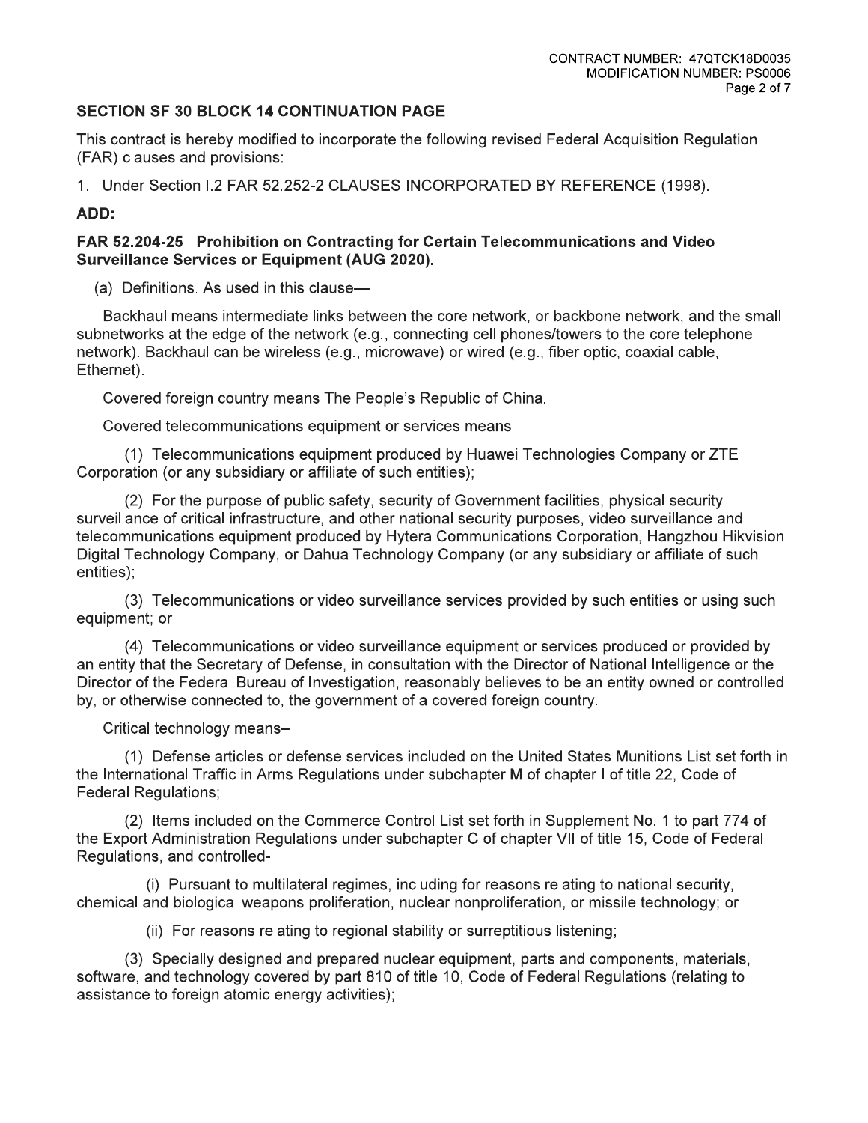## **SECTION SF 30 BLOCK 14 CONTINUATION PAGE**

This contract is hereby modified to incorporate the following revised Federal Acquisition Regulation (FAR) clauses and provisions:

1. Under Section I.2 FAR 52.252-2 CLAUSES INCORPORATED BY REFERENCE (1998).

# ADD:

## FAR 52.204-25 Prohibition on Contracting for Certain Telecommunications and Video **Surveillance Services or Equipment (AUG 2020).**

(a) Definitions. As used in this clause-

Backhaul means intermediate links between the core network, or backbone network, and the small subnetworks at the edge of the network (e.g., connecting cell phones/towers to the core telephone network). Backhaul can be wireless (e.g., microwave) or wired (e.g., fiber optic, coaxial cable, Ethernet).

Covered foreign country means The People's Republic of China.

Covered telecommunications equipment or services means-

(1) Telecommunications equipment produced by Huawei Technologies Company or ZTE Corporation (or any subsidiary or affiliate of such entities);

(2) For the purpose of public safety, security of Government facilities, physical security surveillance of critical infrastructure, and other national security purposes, video surveillance and telecommunications equipment produced by Hytera Communications Corporation, Hangzhou Hikvision Digital Technology Company, or Dahua Technology Company (or any subsidiary or affiliate of such entities):

(3) Telecommunications or video surveillance services provided by such entities or using such equipment; or

(4) Telecommunications or video surveillance equipment or services produced or provided by an entity that the Secretary of Defense, in consultation with the Director of National Intelligence or the Director of the Federal Bureau of Investigation, reasonably believes to be an entity owned or controlled by, or otherwise connected to, the government of a covered foreign country.

Critical technology means-

(1) Defense articles or defense services included on the United States Munitions List set forth in the International Traffic in Arms Regulations under subchapter M of chapter I of title 22, Code of **Federal Regulations;** 

(2) Items included on the Commerce Control List set forth in Supplement No. 1 to part 774 of the Export Administration Regulations under subchapter C of chapter VII of title 15, Code of Federal Regulations, and controlled-

(i) Pursuant to multilateral regimes, including for reasons relating to national security, chemical and biological weapons proliferation, nuclear nonproliferation, or missile technology; or

(ii) For reasons relating to regional stability or surreptitious listening;

(3) Specially designed and prepared nuclear equipment, parts and components, materials, software, and technology covered by part 810 of title 10, Code of Federal Regulations (relating to assistance to foreign atomic energy activities);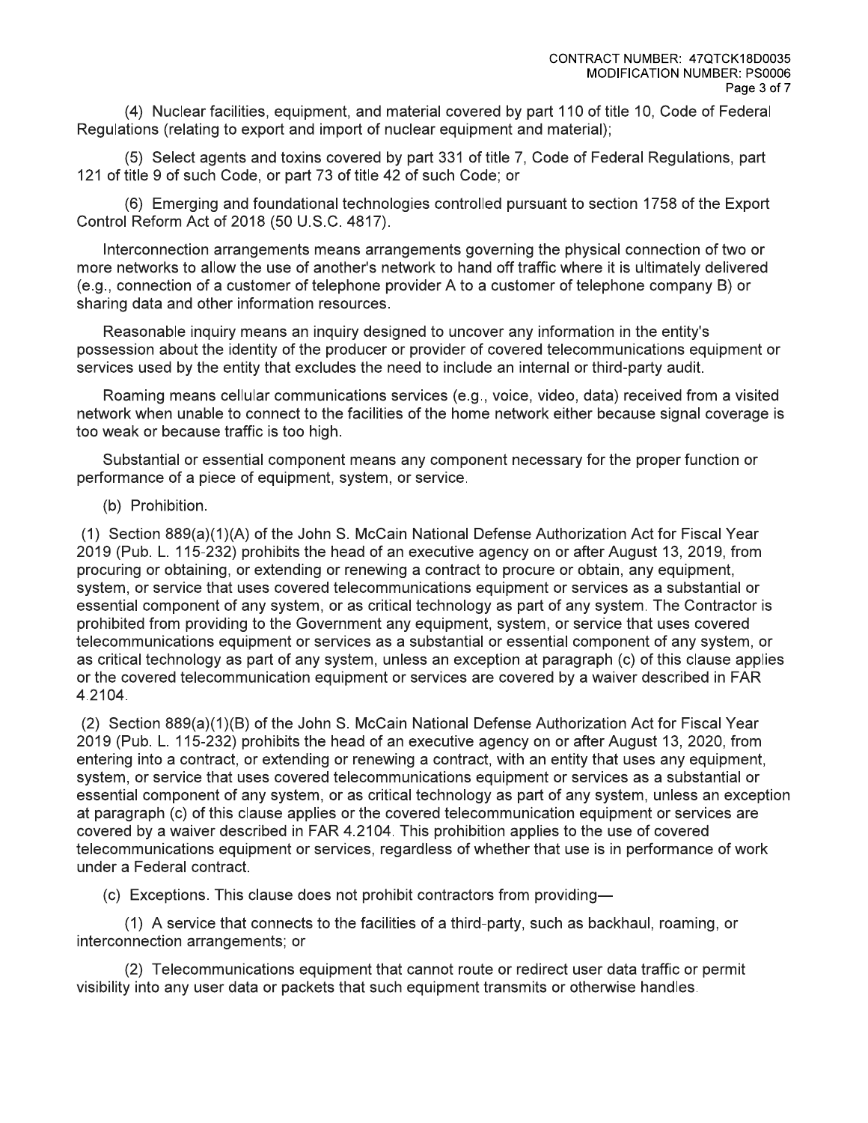(4) Nuclear facilities, equipment, and material covered by part 110 of title 10, Code of Federal Regulations (relating to export and import of nuclear equipment and material);

(5) Select agents and toxins covered by part 331 of title 7, Code of Federal Regulations, part 121 of title 9 of such Code, or part 73 of title 42 of such Code; or

(6) Emerging and foundational technologies controlled pursuant to section 1758 of the Export Control Reform Act of 2018 (50 U.S.C. 4817).

Interconnection arrangements means arrangements governing the physical connection of two or more networks to allow the use of another's network to hand off traffic where it is ultimately delivered (e.g., connection of a customer of telephone provider A to a customer of telephone company B) or sharing data and other information resources.

Reasonable inquiry means an inquiry designed to uncover any information in the entity's possession about the identity of the producer or provider of covered telecommunications equipment or services used by the entity that excludes the need to include an internal or third-party audit.

Roaming means cellular communications services (e.g., voice, video, data) received from a visited network when unable to connect to the facilities of the home network either because signal coverage is too weak or because traffic is too high.

Substantial or essential component means any component necessary for the proper function or performance of a piece of equipment, system, or service.

#### (b) Prohibition.

(1) Section 889(a)(1)(A) of the John S. McCain National Defense Authorization Act for Fiscal Year 2019 (Pub. L. 115-232) prohibits the head of an executive agency on or after August 13, 2019, from procuring or obtaining, or extending or renewing a contract to procure or obtain, any equipment, system, or service that uses covered telecommunications equipment or services as a substantial or essential component of any system, or as critical technology as part of any system. The Contractor is prohibited from providing to the Government any equipment, system, or service that uses covered telecommunications equipment or services as a substantial or essential component of any system, or as critical technology as part of any system, unless an exception at paragraph (c) of this clause applies or the covered telecommunication equipment or services are covered by a waiver described in FAR 4.2104.

(2) Section 889(a)(1)(B) of the John S. McCain National Defense Authorization Act for Fiscal Year 2019 (Pub. L. 115-232) prohibits the head of an executive agency on or after August 13, 2020, from entering into a contract, or extending or renewing a contract, with an entity that uses any equipment. system, or service that uses covered telecommunications equipment or services as a substantial or essential component of any system, or as critical technology as part of any system, unless an exception at paragraph (c) of this clause applies or the covered telecommunication equipment or services are covered by a waiver described in FAR 4.2104. This prohibition applies to the use of covered telecommunications equipment or services, regardless of whether that use is in performance of work under a Federal contract.

(c) Exceptions. This clause does not prohibit contractors from providing-

(1) A service that connects to the facilities of a third-party, such as backhaul, roaming, or interconnection arrangements; or

(2) Telecommunications equipment that cannot route or redirect user data traffic or permit visibility into any user data or packets that such equipment transmits or otherwise handles.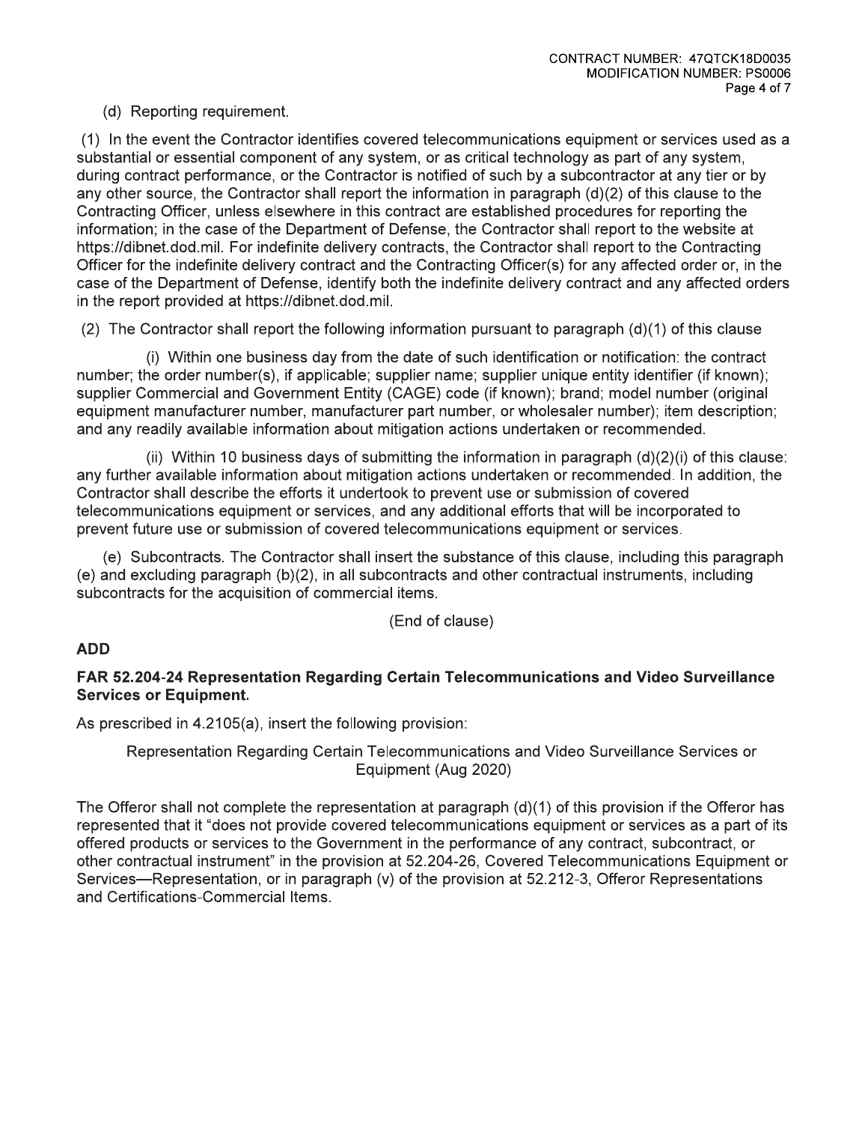# (d) Reporting requirement.

(1) In the event the Contractor identifies covered telecommunications equipment or services used as a substantial or essential component of any system, or as critical technology as part of any system. during contract performance, or the Contractor is notified of such by a subcontractor at any tier or by any other source, the Contractor shall report the information in paragraph  $(d)(2)$  of this clause to the Contracting Officer, unless elsewhere in this contract are established procedures for reporting the information; in the case of the Department of Defense, the Contractor shall report to the website at https://dibnet.dod.mil. For indefinite delivery contracts, the Contractor shall report to the Contracting Officer for the indefinite delivery contract and the Contracting Officer(s) for any affected order or, in the case of the Department of Defense, identify both the indefinite delivery contract and any affected orders in the report provided at https://dibnet.dod.mil.

(2) The Contractor shall report the following information pursuant to paragraph  $(d)(1)$  of this clause

(i) Within one business day from the date of such identification or notification: the contract number; the order number(s), if applicable; supplier name; supplier unique entity identifier (if known); supplier Commercial and Government Entity (CAGE) code (if known); brand; model number (original equipment manufacturer number, manufacturer part number, or wholesaler number); item description; and any readily available information about mitigation actions undertaken or recommended.

(ii) Within 10 business days of submitting the information in paragraph  $(d)(2)(i)$  of this clause: any further available information about mitigation actions undertaken or recommended. In addition, the Contractor shall describe the efforts it undertook to prevent use or submission of covered telecommunications equipment or services, and any additional efforts that will be incorporated to prevent future use or submission of covered telecommunications equipment or services.

(e) Subcontracts. The Contractor shall insert the substance of this clause, including this paragraph (e) and excluding paragraph (b)(2), in all subcontracts and other contractual instruments, including subcontracts for the acquisition of commercial items.

(End of clause)

# **ADD**

# FAR 52.204-24 Representation Regarding Certain Telecommunications and Video Surveillance **Services or Equipment.**

As prescribed in 4.2105(a), insert the following provision:

Representation Regarding Certain Telecommunications and Video Surveillance Services or Equipment (Aug 2020)

The Offeror shall not complete the representation at paragraph  $(d)(1)$  of this provision if the Offeror has represented that it "does not provide covered telecommunications equipment or services as a part of its offered products or services to the Government in the performance of any contract, subcontract, or other contractual instrument" in the provision at 52.204-26, Covered Telecommunications Equipment or Services—Representation, or in paragraph (v) of the provision at 52.212-3, Offeror Representations and Certifications-Commercial Items.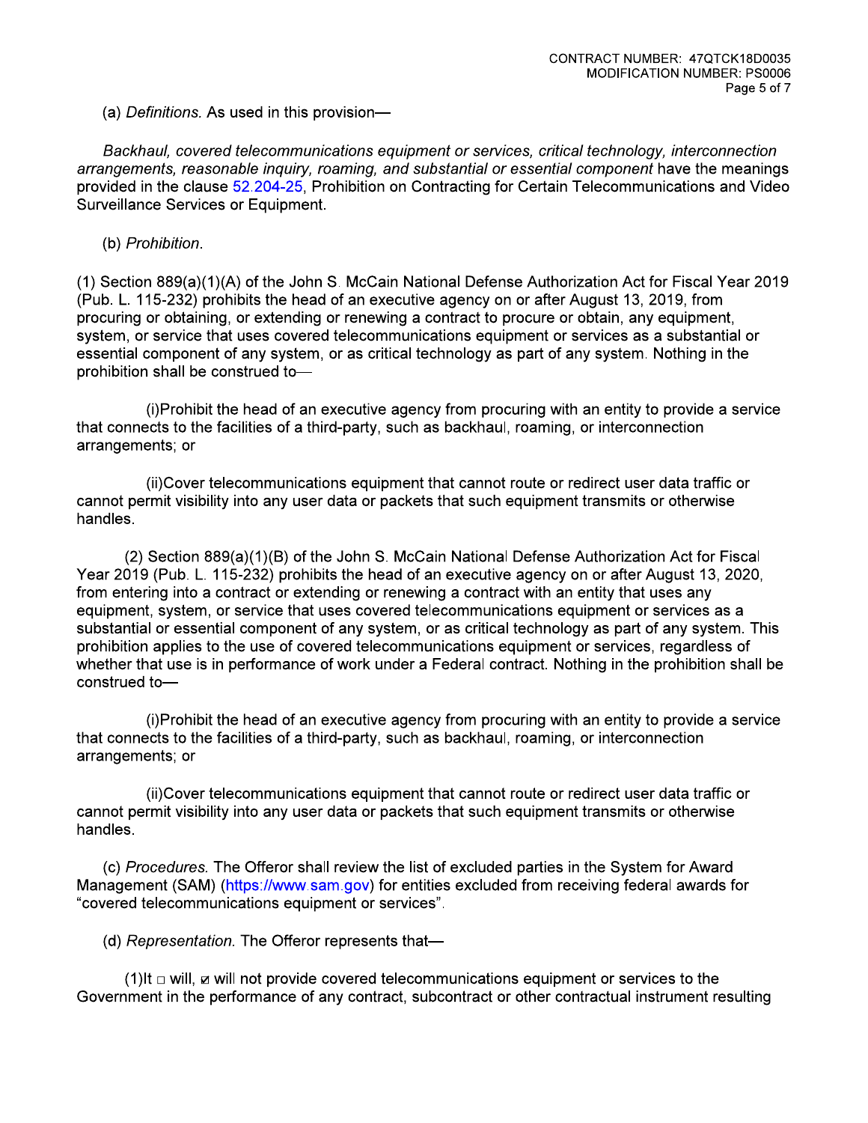(a) Definitions. As used in this provision-

Backhaul, covered telecommunications equipment or services, critical technology, interconnection arrangements, reasonable inguiry, roaming, and substantial or essential component have the meanings provided in the clause 52.204-25, Prohibition on Contracting for Certain Telecommunications and Video Surveillance Services or Equipment.

(b) Prohibition.

(1) Section 889(a)(1)(A) of the John S. McCain National Defense Authorization Act for Fiscal Year 2019 (Pub. L. 115-232) prohibits the head of an executive agency on or after August 13, 2019, from procuring or obtaining, or extending or renewing a contract to procure or obtain, any equipment, system, or service that uses covered telecommunications equipment or services as a substantial or essential component of any system, or as critical technology as part of any system. Nothing in the prohibition shall be construed to-

(i) Prohibit the head of an executive agency from procuring with an entity to provide a service that connects to the facilities of a third-party, such as backhaul, roaming, or interconnection arrangements; or

(ii)Cover telecommunications equipment that cannot route or redirect user data traffic or cannot permit visibility into any user data or packets that such equipment transmits or otherwise handles.

(2) Section 889(a)(1)(B) of the John S. McCain National Defense Authorization Act for Fiscal Year 2019 (Pub. L. 115-232) prohibits the head of an executive agency on or after August 13, 2020, from entering into a contract or extending or renewing a contract with an entity that uses any equipment, system, or service that uses covered telecommunications equipment or services as a substantial or essential component of any system, or as critical technology as part of any system. This prohibition applies to the use of covered telecommunications equipment or services, regardless of whether that use is in performance of work under a Federal contract. Nothing in the prohibition shall be construed to-

(i) Prohibit the head of an executive agency from procuring with an entity to provide a service that connects to the facilities of a third-party, such as backhaul, roaming, or interconnection arrangements; or

(ii)Cover telecommunications equipment that cannot route or redirect user data traffic or cannot permit visibility into any user data or packets that such equipment transmits or otherwise handles.

(c) Procedures. The Offeror shall review the list of excluded parties in the System for Award Management (SAM) (https://www.sam.gov) for entities excluded from receiving federal awards for "covered telecommunications equipment or services".

(d) Representation. The Offeror represents that-

(1)It  $\Box$  will, z will not provide covered telecommunications equipment or services to the Government in the performance of any contract, subcontract or other contractual instrument resulting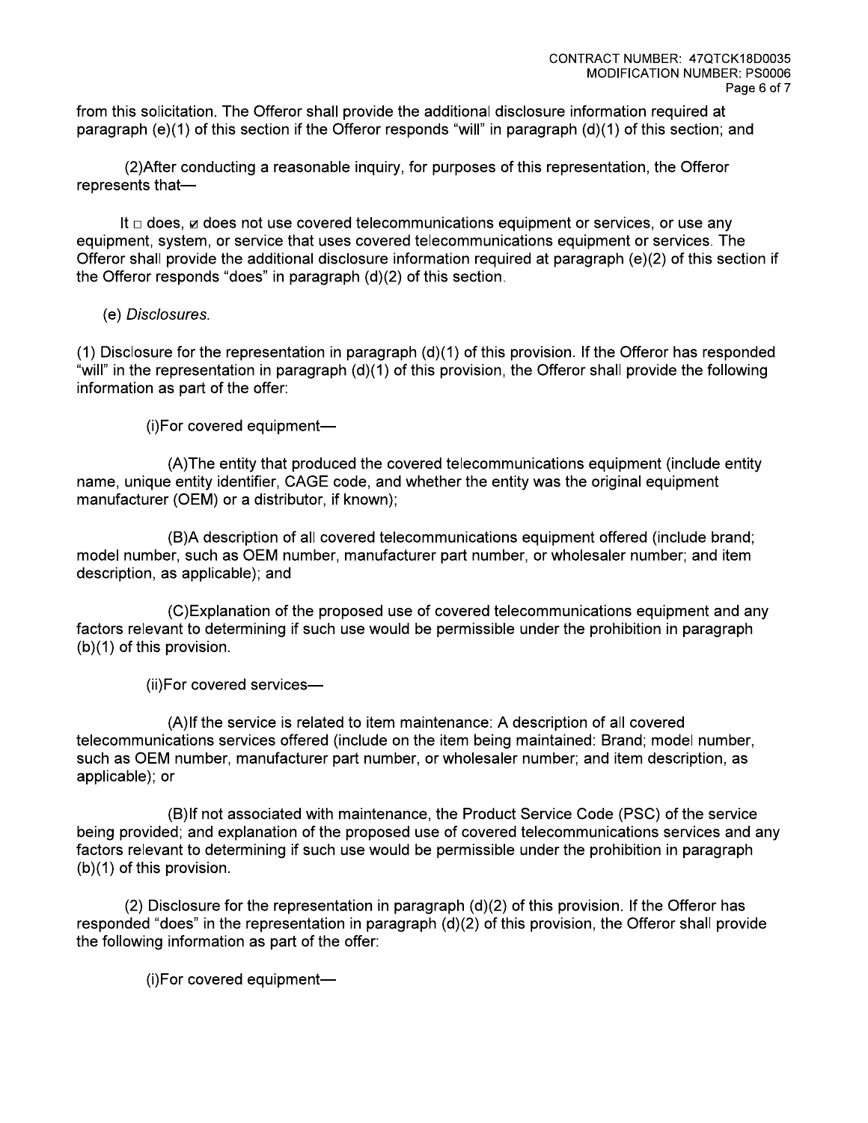from this solicitation. The Offeror shall provide the additional disclosure information required at paragraph (e)(1) of this section if the Offeror responds "will" in paragraph (d)(1) of this section; and

(2) After conducting a reasonable inquiry, for purposes of this representation, the Offeror represents that-

It  $\Box$  does,  $\boxtimes$  does not use covered telecommunications equipment or services, or use any equipment, system, or service that uses covered telecommunications equipment or services. The Offeror shall provide the additional disclosure information required at paragraph (e)(2) of this section if the Offeror responds "does" in paragraph (d)(2) of this section.

(e) Disclosures.

(1) Disclosure for the representation in paragraph (d)(1) of this provision. If the Offeror has responded "will" in the representation in paragraph (d)(1) of this provision, the Offeror shall provide the following information as part of the offer:

(i)For covered equipment-

(A) The entity that produced the covered telecommunications equipment (include entity name, unique entity identifier, CAGE code, and whether the entity was the original equipment manufacturer (OEM) or a distributor, if known);

(B)A description of all covered telecommunications equipment offered (include brand; model number, such as OEM number, manufacturer part number, or wholesaler number; and item description, as applicable); and

(C) Explanation of the proposed use of covered telecommunications equipment and any factors relevant to determining if such use would be permissible under the prohibition in paragraph (b)(1) of this provision.

(ii) For covered services-

(A)If the service is related to item maintenance: A description of all covered telecommunications services offered (include on the item being maintained: Brand; model number, such as OEM number, manufacturer part number, or wholesaler number; and item description, as applicable); or

(B)If not associated with maintenance, the Product Service Code (PSC) of the service being provided; and explanation of the proposed use of covered telecommunications services and any factors relevant to determining if such use would be permissible under the prohibition in paragraph  $(b)(1)$  of this provision.

(2) Disclosure for the representation in paragraph  $(d)(2)$  of this provision. If the Offeror has responded "does" in the representation in paragraph  $(d)(2)$  of this provision, the Offeror shall provide the following information as part of the offer:

(i)For covered equipment-